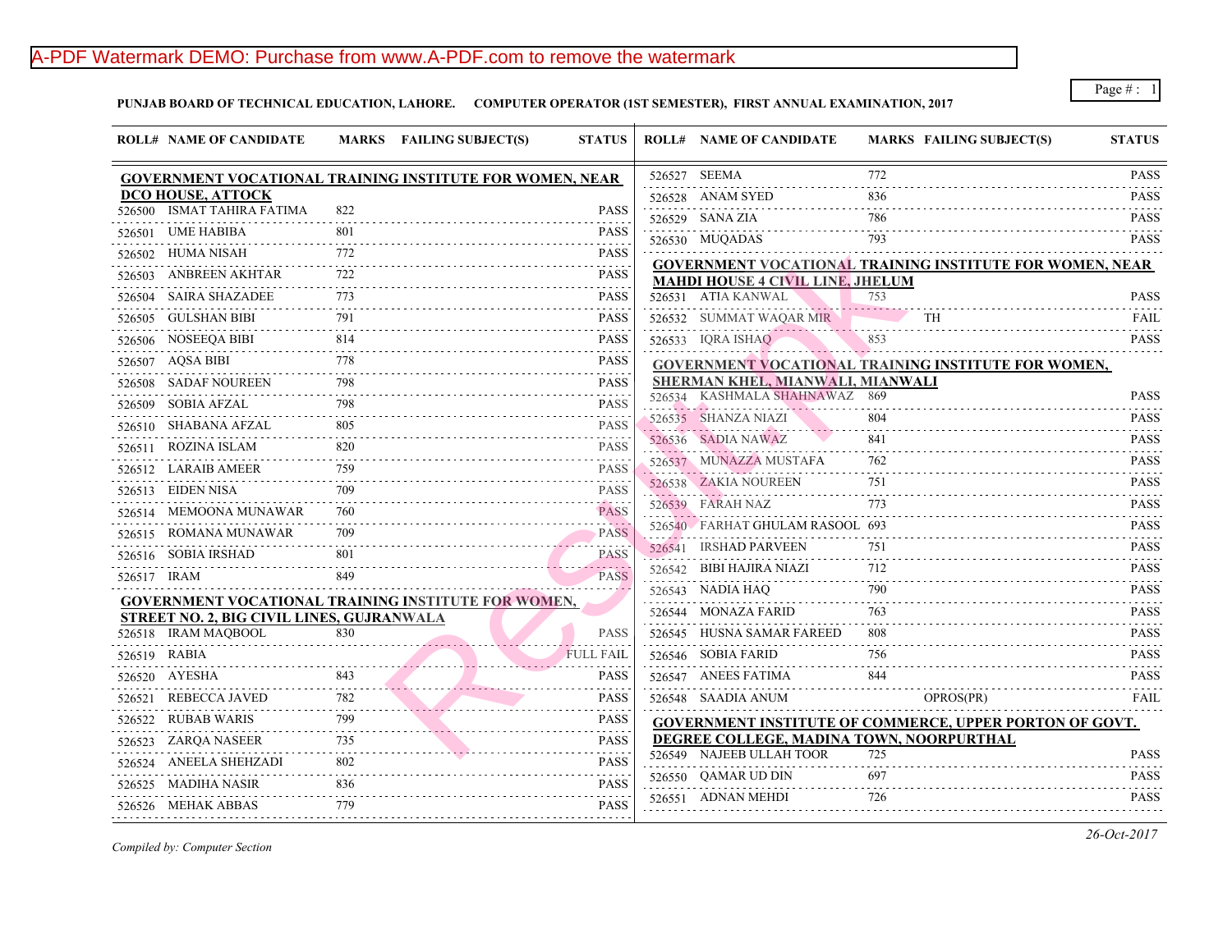## A-PDF Watermark DEMO: Purchase from www.A-PDF.com to remove the watermark

**PUNJAB BOARD OF TECHNICAL EDUCATION, LAHORE. COMPUTER OPERATOR (1ST SEMESTER), FIRST ANNUAL EXAMINATION, 2017**

| <b>ROLL# NAME OF CANDIDATE</b>                                  |     | MARKS FAILING SUBJECT(S) | <b>STATUS</b>                                                                                                                                                                                                         | <b>ROLL# NAME OF CANDIDATE</b>            | <b>MARKS FAIL</b> |
|-----------------------------------------------------------------|-----|--------------------------|-----------------------------------------------------------------------------------------------------------------------------------------------------------------------------------------------------------------------|-------------------------------------------|-------------------|
| <b>GOVERNMENT VOCATIONAL TRAINING INSTITUTE FOR WOMEN, NEAR</b> |     |                          |                                                                                                                                                                                                                       | 526527 SEEMA                              | 772               |
| DCO HOUSE, ATTOCK                                               |     |                          |                                                                                                                                                                                                                       | 526528 ANAM SYED                          | 836               |
| 526500 ISMAT TAHIRA FATIMA                                      | 822 |                          | <b>PASS</b>                                                                                                                                                                                                           | 526529 SANA ZIA                           | 786               |
| 526501 UME HABIBA                                               | 801 |                          | <b>PASS</b>                                                                                                                                                                                                           | 526530 MUQADAS                            | 793               |
| 526502 HUMA NISAH                                               | 772 |                          | <b>PASS</b><br>.                                                                                                                                                                                                      | <b>GOVERNMENT VOCATIONAL TRAINING IN:</b> |                   |
| 526503 ANBREEN AKHTAR                                           | 722 |                          | <b>PASS</b>                                                                                                                                                                                                           | <b>MAHDI HOUSE 4 CIVIL LINE, JHELUM</b>   |                   |
| 526504 SAIRA SHAZADEE                                           | 773 |                          | <b>PASS</b>                                                                                                                                                                                                           | 526531 ATIA KANWAL                        | 753               |
| 526505 GULSHAN BIBI                                             | 791 |                          | <b>PASS</b>                                                                                                                                                                                                           | 526532 SUMMAT WAQAR MIR                   | TH.               |
| 526506 NOSEEQA BIBI                                             | 814 |                          | <b>PASS</b>                                                                                                                                                                                                           | 526533 IQRA ISHAQ                         | 853               |
| 526507 AQSA BIBI                                                | 778 |                          | <b>PASS</b>                                                                                                                                                                                                           | <b>GOVERNMENT VOCATIONAL TRAINING IN:</b> |                   |
| 526508 SADAF NOUREEN                                            | 798 |                          | <b>PASS</b>                                                                                                                                                                                                           | SHERMAN KHEL, MIANWALI, MIANWALI          |                   |
| 526509 SOBIA AFZAL                                              | 798 |                          | <b>PASS</b>                                                                                                                                                                                                           | 526534 KASHMALA SHAHNAWAZ 869             |                   |
| 526510 SHABANA AFZAL                                            | 805 |                          | 2.2.2.2.2<br><b>PASS</b>                                                                                                                                                                                              | 526535 SHANZA NIAZI                       | 804               |
| 526511 ROZINA ISLAM                                             | 820 |                          | $\frac{1}{2} \left( \frac{1}{2} \right) \left( \frac{1}{2} \right) \left( \frac{1}{2} \right) \left( \frac{1}{2} \right) \left( \frac{1}{2} \right)$<br><b>PASS</b>                                                   | 526536 SADIA NAWAZ                        | 841               |
| .<br>526512 LARAIB AMEER                                        | 759 |                          | $\mathcal{L}^{\mathcal{A}}\left( \mathcal{A}^{\mathcal{A}}\right) =\mathcal{L}^{\mathcal{A}}\left( \mathcal{A}^{\mathcal{A}}\right) =\mathcal{L}^{\mathcal{A}}\left( \mathcal{A}^{\mathcal{A}}\right)$<br><b>PASS</b> | 526537 MUNAZZA MUSTAFA                    | 762               |
| 526513 EIDEN NISA                                               |     |                          | <b>PASS</b>                                                                                                                                                                                                           | 526538 ZAKIA NOUREEN                      | 751               |
| 526514 MEMOONA MUNAWAR                                          | 760 |                          | <b>PASS</b>                                                                                                                                                                                                           | 526539 FARAH NAZ                          | 773               |
| 526515 ROMANA MUNAWAR                                           | 709 |                          | <b>PASS</b>                                                                                                                                                                                                           | 526540 FARHAT GHULAM RASOOL 693           |                   |
| 526516 SOBIA IRSHAD                                             | 801 |                          | <b>PASS</b>                                                                                                                                                                                                           | 526541 IRSHAD PARVEEN                     | 751               |
| 526517 IRAM                                                     | 849 |                          | . <i>.</i><br><b>PASS</b>                                                                                                                                                                                             | 526542 BIBI HAJIRA NIAZI                  | 712               |
| <b>GOVERNMENT VOCATIONAL TRAINING INSTITUTE FOR WOMEN,</b>      |     |                          |                                                                                                                                                                                                                       | 526543 NADIA HAQ                          | 790               |
| <b>STREET NO. 2, BIG CIVIL LINES, GUJRANWALA</b>                |     |                          |                                                                                                                                                                                                                       | 526544 MONAZA FARID                       | 763               |
| 526518 IRAM MAQBOOL                                             | 830 |                          | <b>PASS</b>                                                                                                                                                                                                           | 526545 HUSNA SAMAR FAREED                 | 808               |
| 526519 RABIA                                                    |     |                          | <b>FULL FAIL</b>                                                                                                                                                                                                      | 526546 SOBIA FARID                        | 756               |
| 526520 AYESHA                                                   | 843 |                          | <b>PASS</b>                                                                                                                                                                                                           | 526547 ANEES FATIMA                       | 844               |
| .<br>526521 REBECCA JAVED                                       | 782 |                          | <b>PASS</b>                                                                                                                                                                                                           | 526548 SAADIA ANUM                        | <b>OPRC</b>       |
| 526522 RUBAB WARIS                                              | 799 |                          | <b>PASS</b>                                                                                                                                                                                                           | <b>GOVERNMENT INSTITUTE OF COMMERCE,</b>  |                   |
| 526523 ZARQA NASEER                                             |     |                          | 2.2.2.2.2<br><b>PASS</b>                                                                                                                                                                                              | DEGREE COLLEGE, MADINA TOWN, NOORI        |                   |
| 526524 ANEELA SHEHZADI                                          | 802 |                          | <b>PASS</b>                                                                                                                                                                                                           | 526549 NAJEEB ULLAH TOOR                  | 725               |
| 526525 MADIHA NASIR                                             | 836 |                          | <b>PASS</b>                                                                                                                                                                                                           | 526550 QAMAR UD DIN                       | 697               |
| 526526 MEHAK ABBAS                                              | 779 |                          | <b>PASS</b>                                                                                                                                                                                                           | 526551 ADNAN MEHDI                        | 726               |
|                                                                 |     |                          |                                                                                                                                                                                                                       |                                           |                   |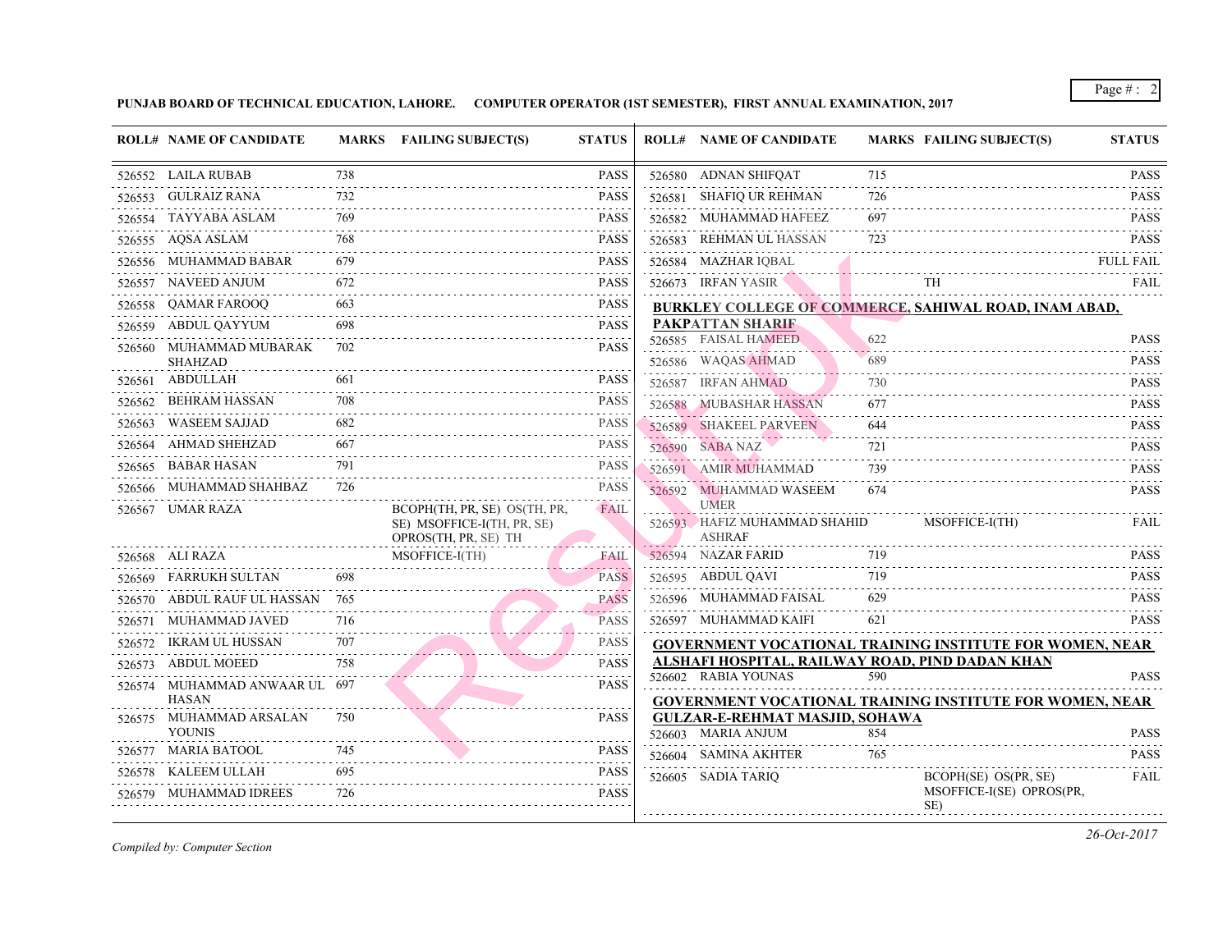## **PUNJAB BOARD OF TECHNICAL EDUCATION, LAHORE. COMPUTER OPERATOR (1ST SEMESTER), FIRST ANNUAL EXAMINATION, 2017**

|        | <b>ROLL# NAME OF CANDIDATE</b>                |     | MARKS FAILING SUBJECT(S)                                                           | <b>STATUS</b>                                         | <b>ROLL# NAME OF CANDIDATE</b>                                  | <b>MARKS FAIL</b> |            |
|--------|-----------------------------------------------|-----|------------------------------------------------------------------------------------|-------------------------------------------------------|-----------------------------------------------------------------|-------------------|------------|
|        | 526552 LAILA RUBAB                            | 738 |                                                                                    | <b>PASS</b>                                           | 526580 ADNAN SHIFQAT                                            | 715               |            |
|        | 526553 GULRAIZ RANA                           | 732 |                                                                                    | <b>PASS</b>                                           | 526581 SHAFIQ UR REHMAN                                         | 726               |            |
|        | 526554 TAYYABA ASLAM                          | 769 |                                                                                    | <b>PASS</b>                                           | 526582 MUHAMMAD HAFEEZ                                          | 697               |            |
|        | 526555 AQSA ASLAM                             | 768 |                                                                                    | <b>PASS</b>                                           | 526583 REHMAN UL HASSAN                                         | 723               |            |
|        | 526556 MUHAMMAD BABAR                         | 679 |                                                                                    | <b>PASS</b>                                           | 526584 MAZHAR IQBAL                                             |                   |            |
|        | 526557 NAVEED ANJUM                           | 672 |                                                                                    | <b>.</b> .<br><b>PASS</b>                             | 526673 IRFAN YASIR                                              |                   | TH         |
|        | 526558 QAMAR FAROOQ                           | 663 |                                                                                    | <b>PASS</b>                                           | <b>BURKLEY COLLEGE OF COMMERCE, SAHIY</b>                       |                   |            |
|        | 526559 ABDUL QAYYUM                           | 698 |                                                                                    | <b>PASS</b><br>.                                      | <b>PAKPATTAN SHARIF</b>                                         |                   |            |
|        | 526560 MUHAMMAD MUBARAK<br><b>SHAHZAD</b>     | 702 |                                                                                    | <b>PASS</b>                                           | 526585 FAISAL HAMEED<br>526586 WAQAS AHMAD                      | 622<br>689        |            |
|        | 526561 ABDULLAH                               | 661 |                                                                                    | <b>PASS</b>                                           | 526587 IRFAN AHMAD                                              | 730               |            |
| 526562 | BEHRAM HASSAN                                 | 708 |                                                                                    | <b>PASS</b>                                           | 526588 MUBASHAR HASSAN                                          | 677               |            |
| 526563 | WASEEM SAJJAD                                 | 682 |                                                                                    | <b>PASS</b>                                           | 526589 SHAKEEL PARVEEN                                          | 644               |            |
|        | 526564 AHMAD SHEHZAD                          | 667 |                                                                                    | <b>PASS</b>                                           | 526590 SABA NAZ                                                 | 721               |            |
| 526565 | BABAR HASAN                                   | 791 |                                                                                    | <b>PASS</b>                                           | 526591 AMIR MUHAMMAD                                            | 739               |            |
|        | 526566 MUHAMMAD SHAHBAZ                       | 726 |                                                                                    | <b>PASS</b>                                           | 526592 MUHAMMAD WASEEM                                          | 674               |            |
|        | 526567 UMAR RAZA                              |     | BCOPH(TH, PR, SE) OS(TH, PR,<br>SE) MSOFFICE-I(TH, PR, SE)<br>OPROS(TH, PR, SE) TH | FAIL                                                  | <b>UMER</b><br>526593 HAFIZ MUHAMMAD SHAHID<br><b>ASHRAF</b>    |                   | MSO.       |
|        | 526568 ALI RAZA                               |     | MSOFFICE-I(TH)                                                                     | <b>FAIL</b>                                           | 526594 NAZAR FARID                                              | 719               |            |
|        | 526569 FARRUKH SULTAN                         | 698 |                                                                                    | <b><i>Charles Committee States</i></b><br><b>PASS</b> | 526595 ABDUL QAVI                                               | 719               |            |
|        | 526570 ABDUL RAUF UL HASSAN 765               |     |                                                                                    | <b>PASS</b><br>and a state                            | 526596 MUHAMMAD FAISAL                                          | 629               |            |
|        | 526571 MUHAMMAD JAVED                         | 716 |                                                                                    | <b>PASS</b><br>$- - - - -$                            | 526597 MUHAMMAD KAIFI                                           | 621               |            |
|        | 526572 IKRAM UL HUSSAN                        | 707 |                                                                                    | <b>PASS</b>                                           | <b>GOVERNMENT VOCATIONAL TRAINING IN</b>                        |                   |            |
|        | 526573 ABDUL MOEED                            | 758 |                                                                                    | <b>PASS</b>                                           | ALSHAFI HOSPITAL, RAILWAY ROAD, PIND                            |                   |            |
|        | 526574 MUHAMMAD ANWAAR UL 697<br><b>HASAN</b> |     |                                                                                    | <b>PASS</b>                                           | 526602 RABIA YOUNAS<br><b>GOVERNMENT VOCATIONAL TRAINING IN</b> | 590               |            |
| 526575 | MUHAMMAD ARSALAN<br><b>YOUNIS</b>             | 750 |                                                                                    | <b>PASS</b>                                           | <b>GULZAR-E-REHMAT MASJID, SOHAWA</b><br>526603 MARIA ANJUM     | 854               |            |
|        | 526577 MARIA BATOOL                           | 745 |                                                                                    | <b>PASS</b>                                           | 526604 SAMINA AKHTER                                            | 765               |            |
| 526578 | KALEEM ULLAH                                  | 695 |                                                                                    | <b>PASS</b>                                           | 526605 SADIA TARIQ                                              |                   | <b>BCO</b> |
|        | 526579 MUHAMMAD IDREES                        | 726 |                                                                                    | <b>PASS</b>                                           |                                                                 |                   | <b>MSO</b> |
|        |                                               |     |                                                                                    |                                                       |                                                                 |                   | SE)        |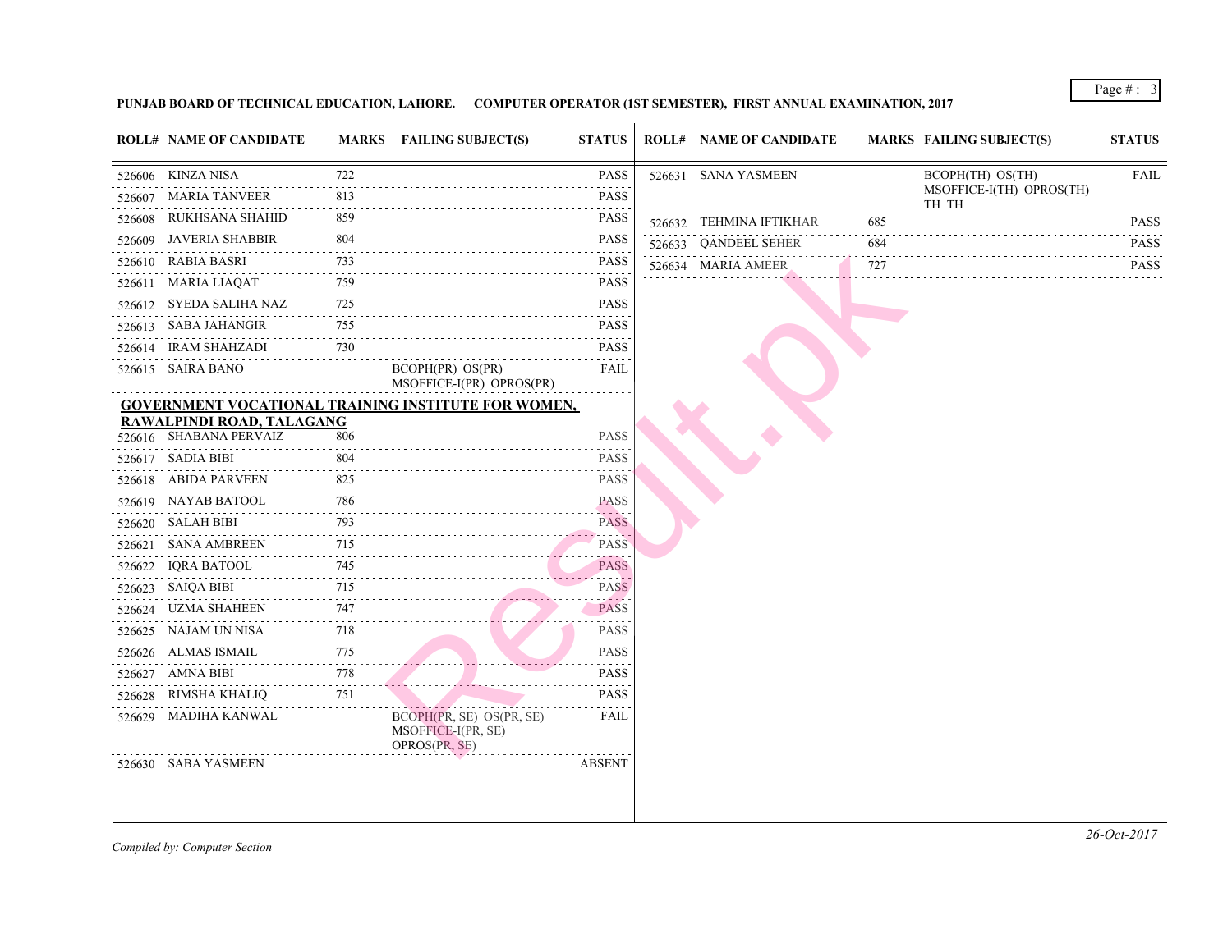## **PUNJAB BOARD OF TECHNICAL EDUCATION, LAHORE. COMPUTER OPERATOR (1ST SEMESTER), FIRST ANNUAL EXAMINATION, 2017**

|   | <b>ROLL# NAME OF CANDIDATE</b>                    |                  | MARKS FAILING SUBJECT(S)                                        | <b>STATUS</b>            | <b>ROLL# NAME OF CANDIDATE</b> |     | <b>MARKS FAIL</b> |
|---|---------------------------------------------------|------------------|-----------------------------------------------------------------|--------------------------|--------------------------------|-----|-------------------|
|   | 526606 KINZA NISA                                 | 722              |                                                                 | <b>PASS</b>              | 526631 SANA YASMEEN            |     |                   |
|   | 526607 MARIA TANVEER                              | 2.2.2.2.2<br>813 |                                                                 | <b>PASS</b>              |                                |     |                   |
| . | 526608 RUKHSANA SHAHID                            | 859              |                                                                 | <b>PASS</b>              | 526632 TEHMINA IFTIKHAR        | 685 |                   |
|   | 526609 JAVERIA SHABBIR                            | 804              |                                                                 | <b>PASS</b>              | 526633 QANDEEL SEHER           | 684 |                   |
|   | 526610 RABIA BASRI                                | 733              |                                                                 | <b>PASS</b>              | 526634 MARIA AMEER             | 727 |                   |
|   | 526611 MARIA LIAQAT                               | 759              |                                                                 | <b>PASS</b>              |                                |     |                   |
|   | 526612 SYEDA SALIHA NAZ<br>. <u>.</u> .           | 725              |                                                                 | <b>PASS</b>              |                                |     |                   |
|   | 526613 SABA JAHANGIR                              | 755              |                                                                 | <b>PASS</b>              |                                |     |                   |
|   | 526614 IRAM SHAHZADI                              | 730              |                                                                 | <b>PASS</b>              |                                |     |                   |
|   | 526615 SAIRA BANO                                 |                  | BCOPH(PR) OS(PR)<br>MSOFFICE-I(PR) OPROS(PR)                    | FAIL                     |                                |     |                   |
|   |                                                   |                  | <b>GOVERNMENT VOCATIONAL TRAINING INSTITUTE FOR WOMEN,</b>      |                          |                                |     |                   |
|   | RAWALPINDI ROAD, TALAGANG                         |                  |                                                                 |                          |                                |     |                   |
|   | 526616 SHABANA PERVAIZ<br>.                       | 806              |                                                                 | <b>PASS</b>              |                                |     |                   |
|   | 526617 SADIA BIBI                                 | 804              |                                                                 | <b>PASS</b>              |                                |     |                   |
|   | 526618 ABIDA PARVEEN                              | 825              |                                                                 | <b>PASS</b>              |                                |     |                   |
|   | 526619 NAYAB BATOOL                               | 786              | 526619 NAYAB BATOOL 786 PASS                                    | <b>PASS</b>              |                                |     |                   |
|   | 526620 SALAH BIBI                                 | 793              |                                                                 | <b>PASS</b>              |                                |     |                   |
|   | 526621 SANA AMBREEN                               | 715              | $EN$ 715                                                        | <b>PASS</b>              |                                |     |                   |
| . | 526622 IQRA BATOOL                                | 745              |                                                                 | <b>PASS</b>              |                                |     |                   |
|   | 526623 SAIQA BIBI                                 | 715              |                                                                 | <b>PASS</b>              |                                |     |                   |
|   | 526624 UZMA SHAHEEN<br>N 747<br>----------------- | 747              |                                                                 | PASS                     |                                |     |                   |
|   | 526625 NAJAM UN NISA                              | 718              | UN NISA $718$                                                   | <b>PASS</b>              |                                |     |                   |
|   | 526626 ALMAS ISMAIL                               | 775              | $\frac{1}{15}$                                                  | <b>PASS</b>              |                                |     |                   |
|   | 526627 AMNA BIBI                                  | 778              | $\frac{778}{256}$                                               | <b>PASS</b>              |                                |     |                   |
|   | 526628 RIMSHA KHALIQ                              | 751              |                                                                 | 2.2.2.2.2<br><b>PASS</b> |                                |     |                   |
|   | 526629 MADIHA KANWAL                              |                  | BCOPH(PR, SE) OS(PR, SE)<br>MSOFFICE-I(PR, SE)<br>OPROS(PR, SE) | FAIL                     |                                |     |                   |
|   | 526630 SABA YASMEEN                               |                  |                                                                 | <b>ABSENT</b>            |                                |     |                   |